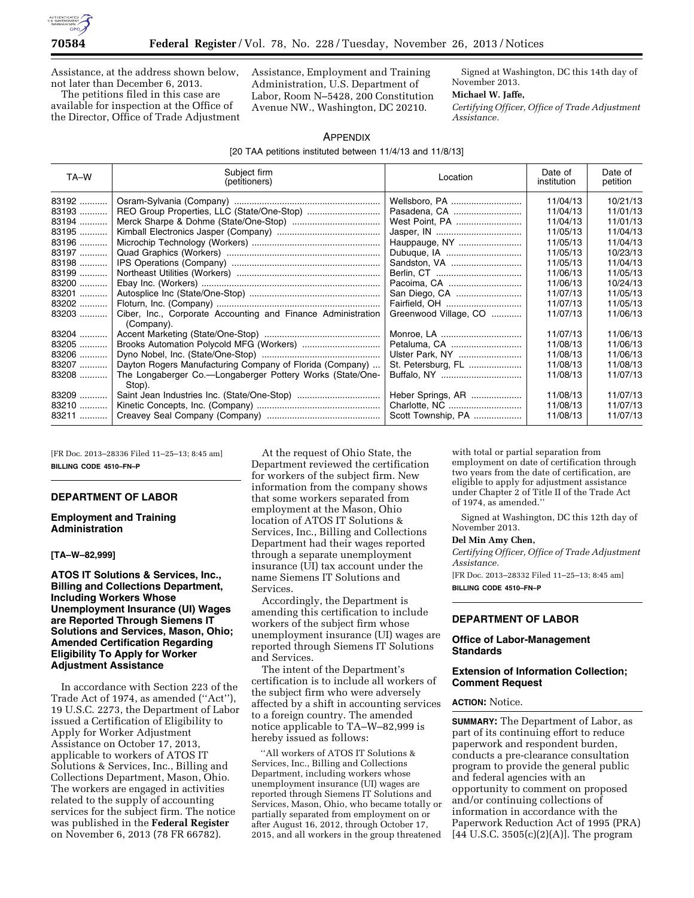

Assistance, at the address shown below, not later than December 6, 2013.

The petitions filed in this case are available for inspection at the Office of the Director, Office of Trade Adjustment Assistance, Employment and Training Administration, U.S. Department of Labor, Room N–5428, 200 Constitution Avenue NW., Washington, DC 20210.

Signed at Washington, DC this 14th day of November 2013.

## **Michael W. Jaffe,**

*Certifying Officer, Office of Trade Adjustment Assistance.* 

### APPENDIX

[20 TAA petitions instituted between 11/4/13 and 11/8/13]

| TA-W    | Subject firm<br>(petitioners)                                       | Location              | Date of<br>institution | Date of<br>petition |
|---------|---------------------------------------------------------------------|-----------------------|------------------------|---------------------|
| 83192   |                                                                     | Wellsboro, PA         | 11/04/13               | 10/21/13            |
| 83193   |                                                                     | Pasadena, CA          | 11/04/13               | 11/01/13            |
| 83194   |                                                                     | West Point, PA        | 11/04/13               | 11/01/13            |
| 83195   |                                                                     |                       | 11/05/13               | 11/04/13            |
| $83196$ |                                                                     |                       | 11/05/13               | 11/04/13            |
| 83197   |                                                                     |                       | 11/05/13               | 10/23/13            |
| 83198   |                                                                     | Sandston, VA          | 11/05/13               | 11/04/13            |
| 83199   |                                                                     |                       | 11/06/13               | 11/05/13            |
| 83200   |                                                                     | Pacoima, CA           | 11/06/13               | 10/24/13            |
| 83201   |                                                                     |                       | 11/07/13               | 11/05/13            |
| 83202   |                                                                     |                       | 11/07/13               | 11/05/13            |
| $83203$ | Ciber, Inc., Corporate Accounting and Finance Administration        | Greenwood Village, CO | 11/07/13               | 11/06/13            |
|         | (Company).                                                          |                       |                        |                     |
| 83204   |                                                                     | Monroe, LA            | 11/07/13               | 11/06/13            |
| 83205   |                                                                     | Petaluma, CA          | 11/08/13               | 11/06/13            |
| 83206   |                                                                     | Ulster Park, NY       | 11/08/13               | 11/06/13            |
| 83207   | Dayton Rogers Manufacturing Company of Florida (Company)            | St. Petersburg, FL    | 11/08/13               | 11/08/13            |
| 83208   | The Longaberger Co.—Longaberger Pottery Works (State/One-<br>Stop). |                       | 11/08/13               | 11/07/13            |
| 83209   |                                                                     | Heber Springs, AR     | 11/08/13               | 11/07/13            |
| 83210   |                                                                     |                       | 11/08/13               | 11/07/13            |
| 83211   |                                                                     | Scott Township, PA    | 11/08/13               | 11/07/13            |

[FR Doc. 2013–28336 Filed 11–25–13; 8:45 am] **BILLING CODE 4510–FN–P** 

# **DEPARTMENT OF LABOR**

### **Employment and Training Administration**

### **[TA–W–82,999]**

**ATOS IT Solutions & Services, Inc., Billing and Collections Department, Including Workers Whose Unemployment Insurance (UI) Wages are Reported Through Siemens IT Solutions and Services, Mason, Ohio; Amended Certification Regarding Eligibility To Apply for Worker Adjustment Assistance** 

In accordance with Section 223 of the Trade Act of 1974, as amended (''Act''), 19 U.S.C. 2273, the Department of Labor issued a Certification of Eligibility to Apply for Worker Adjustment Assistance on October 17, 2013, applicable to workers of ATOS IT Solutions & Services, Inc., Billing and Collections Department, Mason, Ohio. The workers are engaged in activities related to the supply of accounting services for the subject firm. The notice was published in the **Federal Register**  on November 6, 2013 (78 FR 66782).

At the request of Ohio State, the Department reviewed the certification for workers of the subject firm. New information from the company shows that some workers separated from employment at the Mason, Ohio location of ATOS IT Solutions & Services, Inc., Billing and Collections Department had their wages reported through a separate unemployment insurance (UI) tax account under the name Siemens IT Solutions and Services.

Accordingly, the Department is amending this certification to include workers of the subject firm whose unemployment insurance (UI) wages are reported through Siemens IT Solutions and Services.

The intent of the Department's certification is to include all workers of the subject firm who were adversely affected by a shift in accounting services to a foreign country. The amended notice applicable to TA–W–82,999 is hereby issued as follows:

''All workers of ATOS IT Solutions & Services, Inc., Billing and Collections Department, including workers whose unemployment insurance (UI) wages are reported through Siemens IT Solutions and Services, Mason, Ohio, who became totally or partially separated from employment on or after August 16, 2012, through October 17, 2015, and all workers in the group threatened

with total or partial separation from employment on date of certification through two years from the date of certification, are eligible to apply for adjustment assistance under Chapter 2 of Title II of the Trade Act of 1974, as amended.''

Signed at Washington, DC this 12th day of November 2013.

## **Del Min Amy Chen,**

*Certifying Officer, Office of Trade Adjustment Assistance.* 

[FR Doc. 2013–28332 Filed 11–25–13; 8:45 am] **BILLING CODE 4510–FN–P** 

### **DEPARTMENT OF LABOR**

## **Office of Labor-Management Standards**

## **Extension of Information Collection; Comment Request**

# **ACTION:** Notice.

**SUMMARY:** The Department of Labor, as part of its continuing effort to reduce paperwork and respondent burden, conducts a pre-clearance consultation program to provide the general public and federal agencies with an opportunity to comment on proposed and/or continuing collections of information in accordance with the Paperwork Reduction Act of 1995 (PRA)  $[44 \text{ U.S.C. } 3505(c)(2)(A)]$ . The program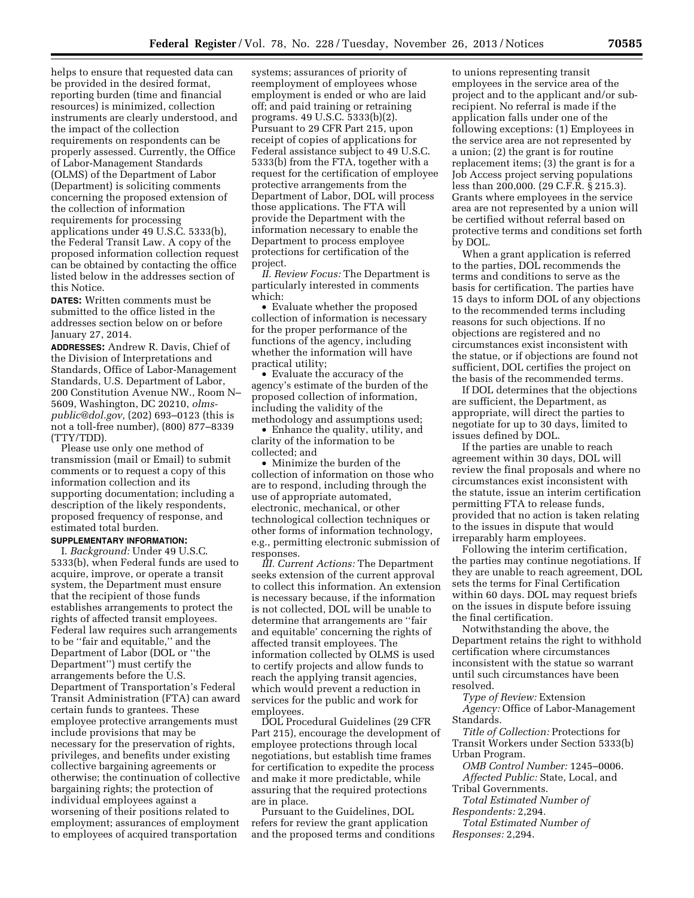helps to ensure that requested data can be provided in the desired format, reporting burden (time and financial resources) is minimized, collection instruments are clearly understood, and the impact of the collection requirements on respondents can be properly assessed. Currently, the Office of Labor-Management Standards (OLMS) of the Department of Labor (Department) is soliciting comments concerning the proposed extension of the collection of information requirements for processing applications under 49 U.S.C. 5333(b), the Federal Transit Law. A copy of the proposed information collection request can be obtained by contacting the office listed below in the addresses section of this Notice.

**DATES:** Written comments must be submitted to the office listed in the addresses section below on or before January 27, 2014.

**ADDRESSES:** Andrew R. Davis, Chief of the Division of Interpretations and Standards, Office of Labor-Management Standards, U.S. Department of Labor, 200 Constitution Avenue NW., Room N– 5609, Washington, DC 20210, *[olms](mailto:olms-public@dol.gov)[public@dol.gov,](mailto:olms-public@dol.gov)* (202) 693–0123 (this is not a toll-free number), (800) 877–8339 (TTY/TDD).

Please use only one method of transmission (mail or Email) to submit comments or to request a copy of this information collection and its supporting documentation; including a description of the likely respondents, proposed frequency of response, and estimated total burden.

# **SUPPLEMENTARY INFORMATION:**

I. *Background:* Under 49 U.S.C. 5333(b), when Federal funds are used to acquire, improve, or operate a transit system, the Department must ensure that the recipient of those funds establishes arrangements to protect the rights of affected transit employees. Federal law requires such arrangements to be ''fair and equitable,'' and the Department of Labor (DOL or ''the Department'') must certify the arrangements before the U.S. Department of Transportation's Federal Transit Administration (FTA) can award certain funds to grantees. These employee protective arrangements must include provisions that may be necessary for the preservation of rights, privileges, and benefits under existing collective bargaining agreements or otherwise; the continuation of collective bargaining rights; the protection of individual employees against a worsening of their positions related to employment; assurances of employment to employees of acquired transportation

systems; assurances of priority of reemployment of employees whose employment is ended or who are laid off; and paid training or retraining programs. 49 U.S.C. 5333(b)(2). Pursuant to 29 CFR Part 215, upon receipt of copies of applications for Federal assistance subject to 49 U.S.C. 5333(b) from the FTA, together with a request for the certification of employee protective arrangements from the Department of Labor, DOL will process those applications. The FTA will provide the Department with the information necessary to enable the Department to process employee protections for certification of the project.

*II. Review Focus:* The Department is particularly interested in comments which:

• Evaluate whether the proposed collection of information is necessary for the proper performance of the functions of the agency, including whether the information will have practical utility;

• Evaluate the accuracy of the agency's estimate of the burden of the proposed collection of information, including the validity of the methodology and assumptions used;

• Enhance the quality, utility, and clarity of the information to be collected; and

• Minimize the burden of the collection of information on those who are to respond, including through the use of appropriate automated, electronic, mechanical, or other technological collection techniques or other forms of information technology, e.g., permitting electronic submission of responses.

*III. Current Actions:* The Department seeks extension of the current approval to collect this information. An extension is necessary because, if the information is not collected, DOL will be unable to determine that arrangements are ''fair and equitable' concerning the rights of affected transit employees. The information collected by OLMS is used to certify projects and allow funds to reach the applying transit agencies, which would prevent a reduction in services for the public and work for employees.

DOL Procedural Guidelines (29 CFR Part 215), encourage the development of employee protections through local negotiations, but establish time frames for certification to expedite the process and make it more predictable, while assuring that the required protections are in place.

Pursuant to the Guidelines, DOL refers for review the grant application and the proposed terms and conditions

to unions representing transit employees in the service area of the project and to the applicant and/or subrecipient. No referral is made if the application falls under one of the following exceptions: (1) Employees in the service area are not represented by a union; (2) the grant is for routine replacement items; (3) the grant is for a Job Access project serving populations less than 200,000. (29 C.F.R. § 215.3). Grants where employees in the service area are not represented by a union will be certified without referral based on protective terms and conditions set forth by DOL.

When a grant application is referred to the parties, DOL recommends the terms and conditions to serve as the basis for certification. The parties have 15 days to inform DOL of any objections to the recommended terms including reasons for such objections. If no objections are registered and no circumstances exist inconsistent with the statue, or if objections are found not sufficient, DOL certifies the project on the basis of the recommended terms.

If DOL determines that the objections are sufficient, the Department, as appropriate, will direct the parties to negotiate for up to 30 days, limited to issues defined by DOL.

If the parties are unable to reach agreement within 30 days, DOL will review the final proposals and where no circumstances exist inconsistent with the statute, issue an interim certification permitting FTA to release funds, provided that no action is taken relating to the issues in dispute that would irreparably harm employees.

Following the interim certification, the parties may continue negotiations. If they are unable to reach agreement, DOL sets the terms for Final Certification within 60 days. DOL may request briefs on the issues in dispute before issuing the final certification.

Notwithstanding the above, the Department retains the right to withhold certification where circumstances inconsistent with the statue so warrant until such circumstances have been resolved.

*Type of Review:* Extension *Agency:* Office of Labor-Management Standards.

*Title of Collection:* Protections for Transit Workers under Section 5333(b) Urban Program.

*OMB Control Number:* 1245–0006. *Affected Public:* State, Local, and

Tribal Governments.

*Total Estimated Number of Respondents:* 2,294.

*Total Estimated Number of Responses:* 2,294.